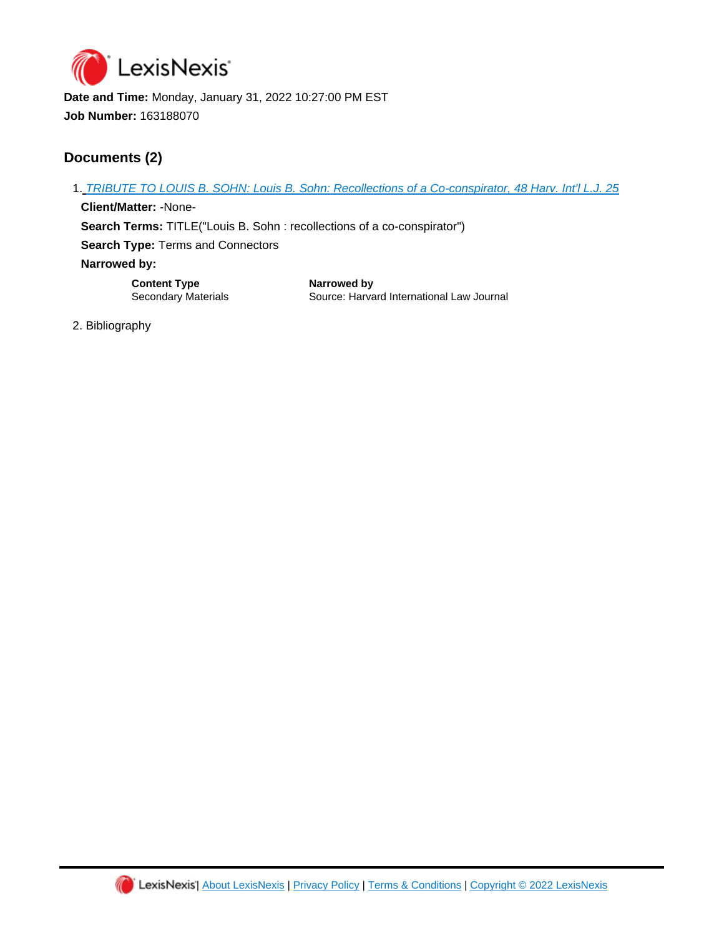

**Date and Time:** Monday, January 31, 2022 10:27:00 PM EST **Job Number:** 163188070

## **Documents (2)**

1. [TRIBUTE TO LOUIS B. SOHN: Louis B. Sohn: Recollections of a Co-conspirator, 48 Harv. Int'l L.J. 25](https://advance.lexis.com/api/document?id=urn:contentItem:4NB2-NK40-00CW-204W-00000-00&idtype=PID&context=1516831)

**Client/Matter:** -None-**Search Terms:** TITLE("Louis B. Sohn : recollections of a co-conspirator") **Search Type:** Terms and Connectors **Narrowed by:** 

**Content Type Narrowed by**

Secondary Materials **Source: Harvard International Law Journal** 

2. Bibliography

Ш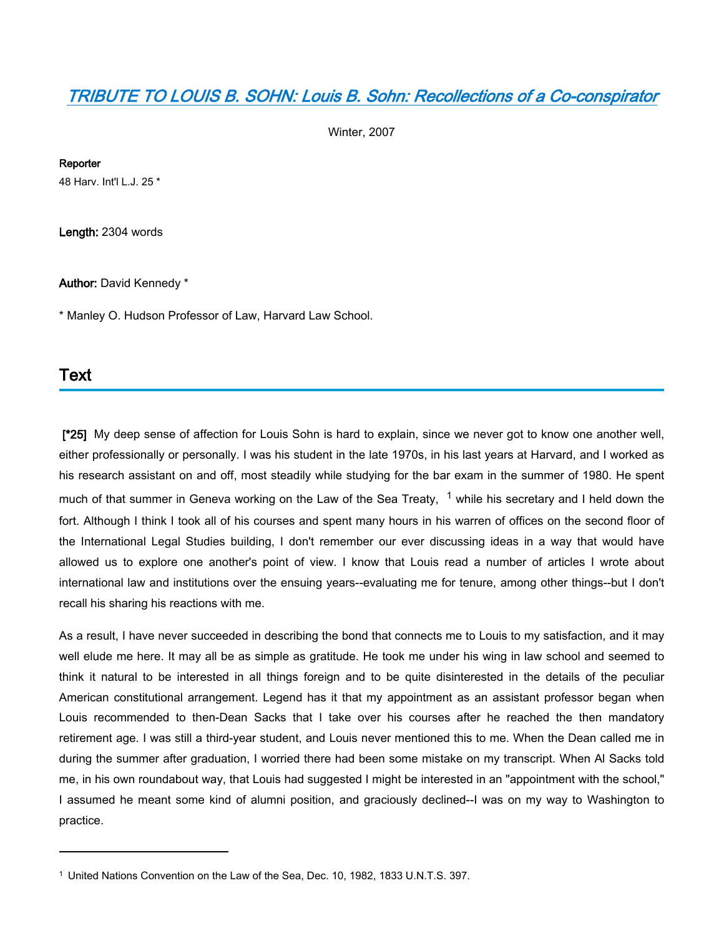## *[TRIBUTE TO LOUIS B. SOHN: Louis B. Sohn: Recollections of a Co-conspirator](https://advance.lexis.com/api/document?collection=analytical-materials&id=urn:contentItem:4NB2-NK40-00CW-204W-00000-00&context=1516831)*

Winter, 2007

#### **Reporter**

48 Harv. Int'l L.J. 25 \*

**Length:** 2304 words

#### **Author:** David Kennedy \*

\* Manley O. Hudson Professor of Law, Harvard Law School.

### **Text**

 **[\*25]** My deep sense of affection for Louis Sohn is hard to explain, since we never got to know one another well, either professionally or personally. I was his student in the late 1970s, in his last years at Harvard, and I worked as his research assistant on and off, most steadily while studying for the bar exam in the summer of 1980. He spent much of that summer in Geneva working on the Law of the Sea Treaty, <sup>1</sup> while his secretary and I held down the fort. Although I think I took all of his courses and spent many hours in his warren of offices on the second floor of the International Legal Studies building, I don't remember our ever discussing ideas in a way that would have allowed us to explore one another's point of view. I know that Louis read a number of articles I wrote about international law and institutions over the ensuing years--evaluating me for tenure, among other things--but I don't recall his sharing his reactions with me.

As a result, I have never succeeded in describing the bond that connects me to Louis to my satisfaction, and it may well elude me here. It may all be as simple as gratitude. He took me under his wing in law school and seemed to think it natural to be interested in all things foreign and to be quite disinterested in the details of the peculiar American constitutional arrangement. Legend has it that my appointment as an assistant professor began when Louis recommended to then-Dean Sacks that I take over his courses after he reached the then mandatory retirement age. I was still a third-year student, and Louis never mentioned this to me. When the Dean called me in during the summer after graduation, I worried there had been some mistake on my transcript. When Al Sacks told me, in his own roundabout way, that Louis had suggested I might be interested in an "appointment with the school," I assumed he meant some kind of alumni position, and graciously declined--I was on my way to Washington to practice.

<sup>1</sup> United Nations Convention on the Law of the Sea, Dec. 10, 1982, 1833 U.N.T.S. 397.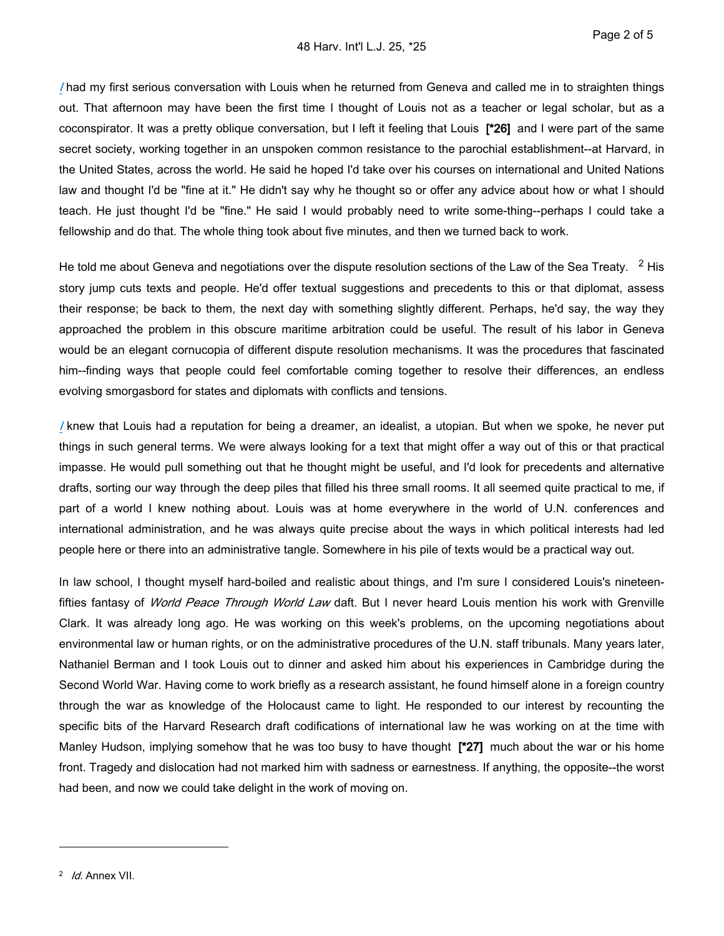*[I](https://advance.lexis.com/api/document?collection=statutes-legislation&id=urn:contentItem:8T9R-T2X2-D6RV-H374-00000-00&context=1516831)* had my first serious conversation with Louis when he returned from Geneva and called me in to straighten things out. That afternoon may have been the first time I thought of Louis not as a teacher or legal scholar, but as a coconspirator. It was a pretty oblique conversation, but I left it feeling that Louis **[\*26]** and I were part of the same secret society, working together in an unspoken common resistance to the parochial establishment--at Harvard, in the United States, across the world. He said he hoped I'd take over his courses on international and United Nations law and thought I'd be "fine at it." He didn't say why he thought so or offer any advice about how or what I should teach. He just thought I'd be "fine." He said I would probably need to write some-thing--perhaps I could take a fellowship and do that. The whole thing took about five minutes, and then we turned back to work.

He told me about Geneva and negotiations over the dispute resolution sections of the Law of the Sea Treaty.  $2$  His story jump cuts texts and people. He'd offer textual suggestions and precedents to this or that diplomat, assess their response; be back to them, the next day with something slightly different. Perhaps, he'd say, the way they approached the problem in this obscure maritime arbitration could be useful. The result of his labor in Geneva would be an elegant cornucopia of different dispute resolution mechanisms. It was the procedures that fascinated him--finding ways that people could feel comfortable coming together to resolve their differences, an endless evolving smorgasbord for states and diplomats with conflicts and tensions.

*[I](https://advance.lexis.com/api/document?collection=statutes-legislation&id=urn:contentItem:8T9R-T2X2-D6RV-H374-00000-00&context=1516831)* knew that Louis had a reputation for being a dreamer, an idealist, a utopian. But when we spoke, he never put things in such general terms. We were always looking for a text that might offer a way out of this or that practical impasse. He would pull something out that he thought might be useful, and I'd look for precedents and alternative drafts, sorting our way through the deep piles that filled his three small rooms. It all seemed quite practical to me, if part of a world I knew nothing about. Louis was at home everywhere in the world of U.N. conferences and international administration, and he was always quite precise about the ways in which political interests had led people here or there into an administrative tangle. Somewhere in his pile of texts would be a practical way out.

In law school, I thought myself hard-boiled and realistic about things, and I'm sure I considered Louis's nineteenfifties fantasy of *World Peace Through World Law* daft. But I never heard Louis mention his work with Grenville Clark. It was already long ago. He was working on this week's problems, on the upcoming negotiations about environmental law or human rights, or on the administrative procedures of the U.N. staff tribunals. Many years later, Nathaniel Berman and I took Louis out to dinner and asked him about his experiences in Cambridge during the Second World War. Having come to work briefly as a research assistant, he found himself alone in a foreign country through the war as knowledge of the Holocaust came to light. He responded to our interest by recounting the specific bits of the Harvard Research draft codifications of international law he was working on at the time with Manley Hudson, implying somehow that he was too busy to have thought **[\*27]** much about the war or his home front. Tragedy and dislocation had not marked him with sadness or earnestness. If anything, the opposite--the worst had been, and now we could take delight in the work of moving on.

<sup>2</sup>  *Id.* Annex VII.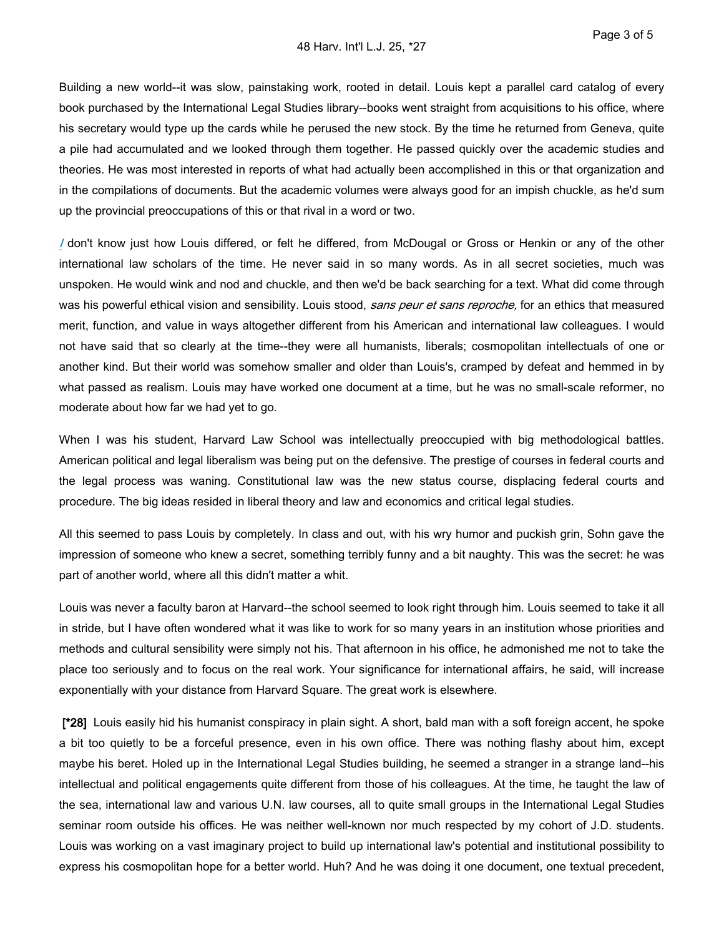Building a new world--it was slow, painstaking work, rooted in detail. Louis kept a parallel card catalog of every book purchased by the International Legal Studies library--books went straight from acquisitions to his office, where his secretary would type up the cards while he perused the new stock. By the time he returned from Geneva, quite a pile had accumulated and we looked through them together. He passed quickly over the academic studies and theories. He was most interested in reports of what had actually been accomplished in this or that organization and in the compilations of documents. But the academic volumes were always good for an impish chuckle, as he'd sum up the provincial preoccupations of this or that rival in a word or two.

*[I](https://advance.lexis.com/api/document?collection=statutes-legislation&id=urn:contentItem:8T9R-T2X2-D6RV-H374-00000-00&context=1516831)* don't know just how Louis differed, or felt he differed, from McDougal or Gross or Henkin or any of the other international law scholars of the time. He never said in so many words. As in all secret societies, much was unspoken. He would wink and nod and chuckle, and then we'd be back searching for a text. What did come through was his powerful ethical vision and sensibility. Louis stood, *sans peur et sans reproche,* for an ethics that measured merit, function, and value in ways altogether different from his American and international law colleagues. I would not have said that so clearly at the time--they were all humanists, liberals; cosmopolitan intellectuals of one or another kind. But their world was somehow smaller and older than Louis's, cramped by defeat and hemmed in by what passed as realism. Louis may have worked one document at a time, but he was no small-scale reformer, no moderate about how far we had yet to go.

When I was his student, Harvard Law School was intellectually preoccupied with big methodological battles. American political and legal liberalism was being put on the defensive. The prestige of courses in federal courts and the legal process was waning. Constitutional law was the new status course, displacing federal courts and procedure. The big ideas resided in liberal theory and law and economics and critical legal studies.

All this seemed to pass Louis by completely. In class and out, with his wry humor and puckish grin, Sohn gave the impression of someone who knew a secret, something terribly funny and a bit naughty. This was the secret: he was part of another world, where all this didn't matter a whit.

Louis was never a faculty baron at Harvard--the school seemed to look right through him. Louis seemed to take it all in stride, but I have often wondered what it was like to work for so many years in an institution whose priorities and methods and cultural sensibility were simply not his. That afternoon in his office, he admonished me not to take the place too seriously and to focus on the real work. Your significance for international affairs, he said, will increase exponentially with your distance from Harvard Square. The great work is elsewhere.

 **[\*28]** Louis easily hid his humanist conspiracy in plain sight. A short, bald man with a soft foreign accent, he spoke a bit too quietly to be a forceful presence, even in his own office. There was nothing flashy about him, except maybe his beret. Holed up in the International Legal Studies building, he seemed a stranger in a strange land--his intellectual and political engagements quite different from those of his colleagues. At the time, he taught the law of the sea, international law and various U.N. law courses, all to quite small groups in the International Legal Studies seminar room outside his offices. He was neither well-known nor much respected by my cohort of J.D. students. Louis was working on a vast imaginary project to build up international law's potential and institutional possibility to express his cosmopolitan hope for a better world. Huh? And he was doing it one document, one textual precedent,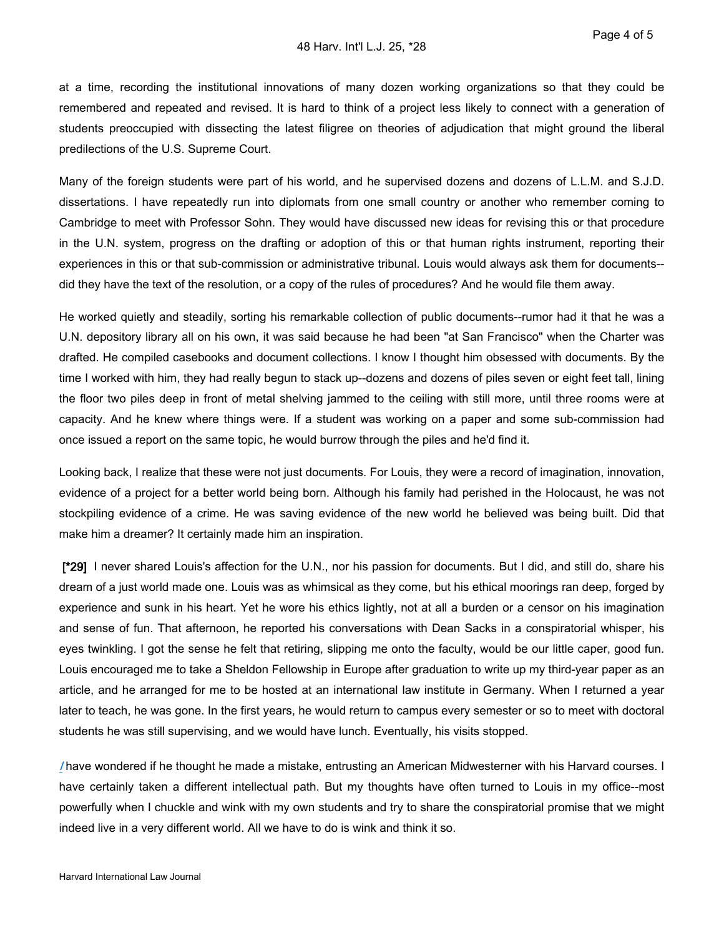at a time, recording the institutional innovations of many dozen working organizations so that they could be remembered and repeated and revised. It is hard to think of a project less likely to connect with a generation of students preoccupied with dissecting the latest filigree on theories of adjudication that might ground the liberal predilections of the U.S. Supreme Court.

Many of the foreign students were part of his world, and he supervised dozens and dozens of L.L.M. and S.J.D. dissertations. I have repeatedly run into diplomats from one small country or another who remember coming to Cambridge to meet with Professor Sohn. They would have discussed new ideas for revising this or that procedure in the U.N. system, progress on the drafting or adoption of this or that human rights instrument, reporting their experiences in this or that sub-commission or administrative tribunal. Louis would always ask them for documents- did they have the text of the resolution, or a copy of the rules of procedures? And he would file them away.

He worked quietly and steadily, sorting his remarkable collection of public documents--rumor had it that he was a U.N. depository library all on his own, it was said because he had been "at San Francisco" when the Charter was drafted. He compiled casebooks and document collections. I know I thought him obsessed with documents. By the time I worked with him, they had really begun to stack up--dozens and dozens of piles seven or eight feet tall, lining the floor two piles deep in front of metal shelving jammed to the ceiling with still more, until three rooms were at capacity. And he knew where things were. If a student was working on a paper and some sub-commission had once issued a report on the same topic, he would burrow through the piles and he'd find it.

Looking back, I realize that these were not just documents. For Louis, they were a record of imagination, innovation, evidence of a project for a better world being born. Although his family had perished in the Holocaust, he was not stockpiling evidence of a crime. He was saving evidence of the new world he believed was being built. Did that make him a dreamer? It certainly made him an inspiration.

 **[\*29]** I never shared Louis's affection for the U.N., nor his passion for documents. But I did, and still do, share his dream of a just world made one. Louis was as whimsical as they come, but his ethical moorings ran deep, forged by experience and sunk in his heart. Yet he wore his ethics lightly, not at all a burden or a censor on his imagination and sense of fun. That afternoon, he reported his conversations with Dean Sacks in a conspiratorial whisper, his eyes twinkling. I got the sense he felt that retiring, slipping me onto the faculty, would be our little caper, good fun. Louis encouraged me to take a Sheldon Fellowship in Europe after graduation to write up my third-year paper as an article, and he arranged for me to be hosted at an international law institute in Germany. When I returned a year later to teach, he was gone. In the first years, he would return to campus every semester or so to meet with doctoral students he was still supervising, and we would have lunch. Eventually, his visits stopped.

*[I](https://advance.lexis.com/api/document?collection=statutes-legislation&id=urn:contentItem:8T9R-T2X2-D6RV-H374-00000-00&context=1516831)* have wondered if he thought he made a mistake, entrusting an American Midwesterner with his Harvard courses. I have certainly taken a different intellectual path. But my thoughts have often turned to Louis in my office--most powerfully when I chuckle and wink with my own students and try to share the conspiratorial promise that we might indeed live in a very different world. All we have to do is wink and think it so.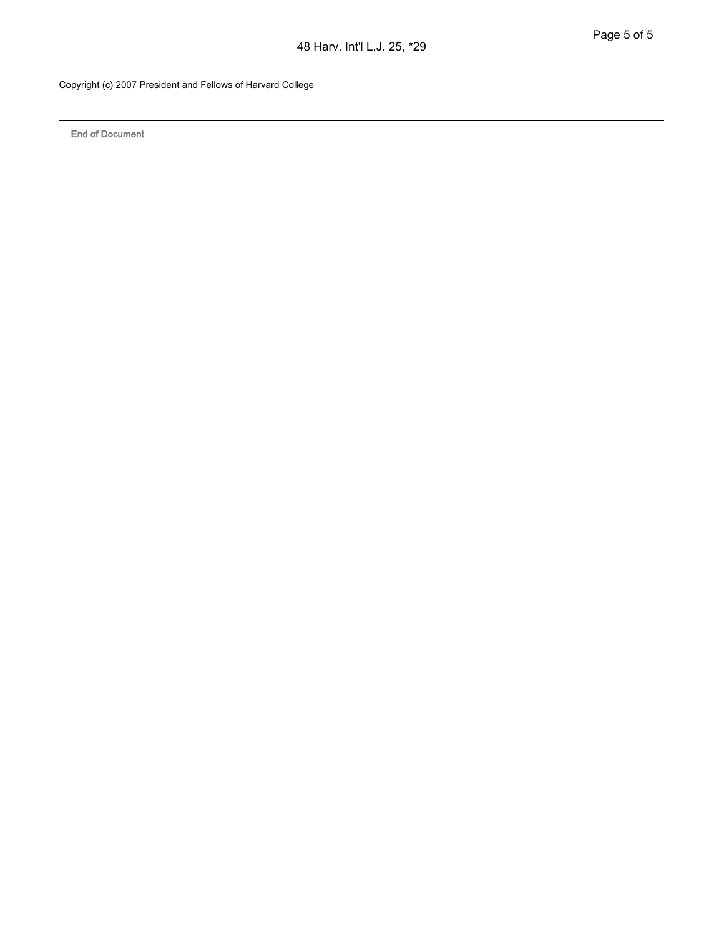Copyright (c) 2007 President and Fellows of Harvard College

**End of Document**